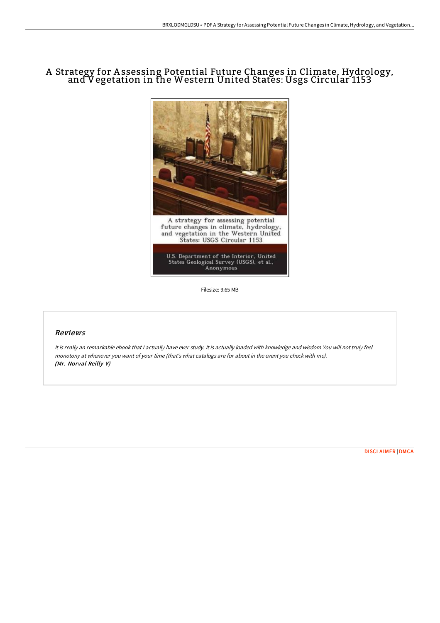## A Strategy for A ssessing Potential Future Changes in Climate, Hydrology, and Vegetation in the Western United States: Usgs Circular 1153



Filesize: 9.65 MB

## Reviews

It is really an remarkable ebook that <sup>I</sup> actually have ever study. It is actually loaded with knowledge and wisdom You will not truly feel monotony at whenever you want of your time (that's what catalogs are for about in the event you check with me). (Mr. Norval Reilly V)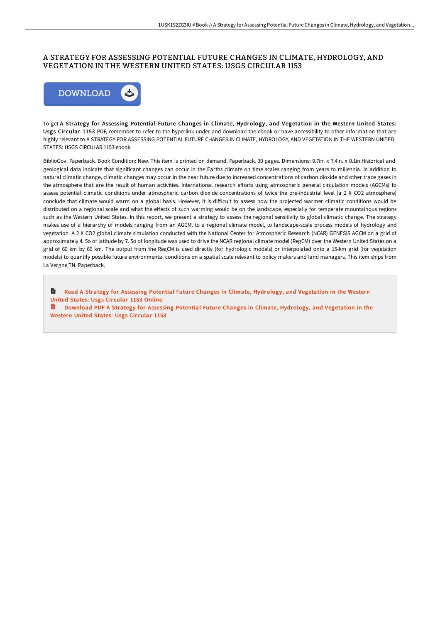## A STRATEGY FOR ASSESSING POTENTIAL FUTURE CHANGES IN CLIMATE, HYDROLOGY, AND VEGETATION IN THE WESTERN UNITED STATES: USGS CIRCULAR 1153



To get A Strategy for Assessing Potential Future Changes in Climate, Hydrology, and Vegetation in the Western United States: Usgs Cir cular 1153 PDF, remember to refer to the hyperlink under and download the ebook or have accessibility to other information that are highly relevant to A STRATEGY FOR ASSESSING POTENTIAL FUTURE CHANGES IN CLIMATE, HYDROLOGY, AND VEGETATION IN THE WESTERN UNITED STATES: USGS CIRCULAR 1153 ebook.

BiblioGov. Paperback. Book Condition: New. This item is printed on demand. Paperback. 30 pages. Dimensions: 9.7in. x 7.4in. x 0.1in.Historical and geological data indicate that significant changes can occur in the Earths climate on time scales ranging from years to millennia. In addition to natural climatic change, climatic changes may occur in the near future due to increased concentrations of carbon dioxide and other trace gases in the atmosphere that are the result of human activities. International research efforts using atmospheric general circulation models (AGCMs) to assess potential climatic conditions under atmospheric carbon dioxide concentrations of twice the pre-industrial level (a 2 X CO2 atmosphere) conclude that climate would warm on a global basis. However, it is diEicult to assess how the projected warmer climatic conditions would be distributed on a regional scale and what the effects of such warming would be on the landscape, especially for temperate mountainous regions such as the Western United States. In this report, we present a strategy to assess the regional sensitivity to global climatic change. The strategy makes use of a hierarchy of models ranging from an AGCM, to a regional climate model, to landscape-scale process models of hydrology and vegetation. A 2 X CO2 global climate simulation conducted with the National Center for Atmospheric Research (NCAR) GENESIS AGCM on a grid of approximately 4. 5o of latitude by 7. 5o of longitude was used to drive the NCAR regional climate model (RegCM) over the Western United States on a grid of 60 km by 60 km. The output from the RegCM is used directly (for hydrologic models) or interpolated onto a 15-km grid (for vegetation models) to quantify possible future environmental conditions on a spatial scale relevant to policy makers and land managers. This item ships from La Vergne,TN. Paperback.

 $\blacksquare$ Read A Strategy for Assessing Potential Future Changes in Climate, [Hydrology,](http://albedo.media/a-strategy-for-assessing-potential-future-change.html) and Vegetation in the Western United States: Usgs Circular 1153 Online

Download PDF A Strategy for Assessing Potential Future Changes in Climate, [Hydrology,](http://albedo.media/a-strategy-for-assessing-potential-future-change.html) and Vegetation in the Western United States: Usgs Circular 1153